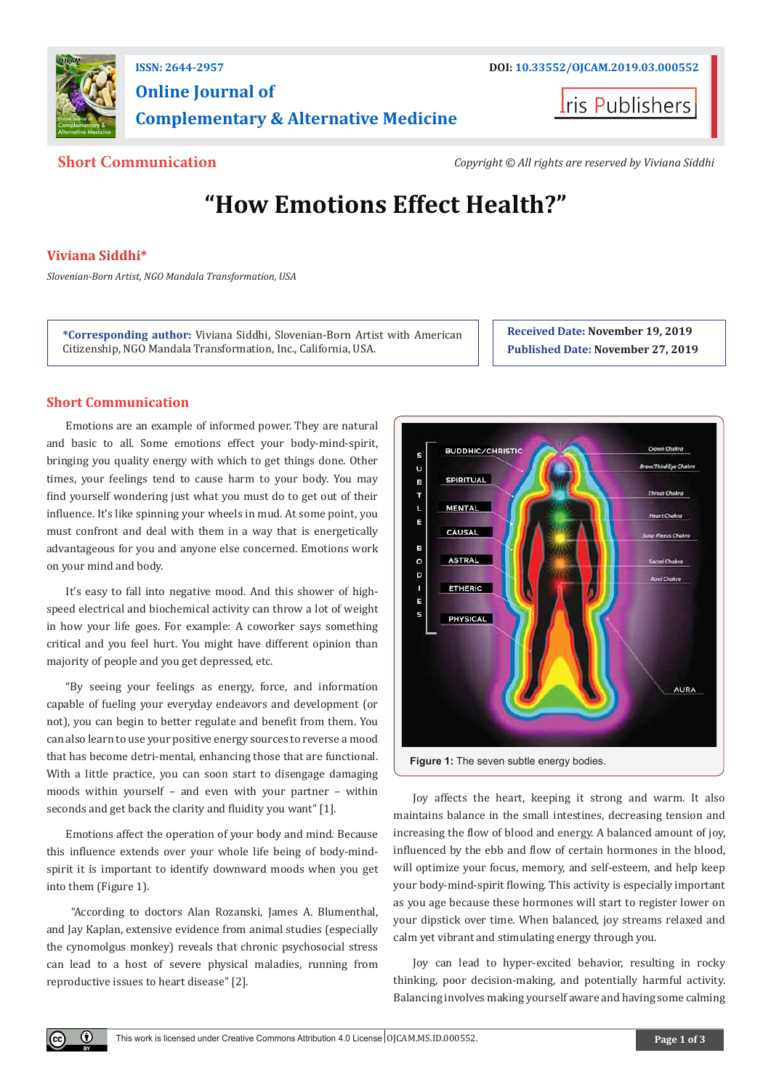



**Short Communication** *Copyright © All rights are reserved by Viviana Siddhi*

# **"How Emotions Effect Health?"**

# **Viviana Siddhi\***

*Slovenian-Born Artist, NGO Mandala Transformation, USA*

**\*Corresponding author:** Viviana Siddhi, Slovenian-Born Artist with American Citizenship, NGO Mandala Transformation, Inc., California, USA.

**Received Date: November 19, 2019 Published Date: November 27, 2019**

# **Short Communication**

Emotions are an example of informed power. They are natural and basic to all. Some emotions effect your body-mind-spirit, bringing you quality energy with which to get things done. Other times, your feelings tend to cause harm to your body. You may find yourself wondering just what you must do to get out of their influence. It's like spinning your wheels in mud. At some point, you must confront and deal with them in a way that is energetically advantageous for you and anyone else concerned. Emotions work on your mind and body.

It's easy to fall into negative mood. And this shower of highspeed electrical and biochemical activity can throw a lot of weight in how your life goes. For example: A coworker says something critical and you feel hurt. You might have different opinion than majority of people and you get depressed, etc.

"By seeing your feelings as energy, force, and information capable of fueling your everyday endeavors and development (or not), you can begin to better regulate and benefit from them. You can also learn to use your positive energy sources to reverse a mood that has become detri-mental, enhancing those that are functional. With a little practice, you can soon start to disengage damaging moods within yourself – and even with your partner – within seconds and get back the clarity and fluidity you want" [1].

Emotions affect the operation of your body and mind. Because this influence extends over your whole life being of body-mindspirit it is important to identify downward moods when you get into them (Figure 1).

 "According to doctors Alan Rozanski, James A. Blumenthal, and Jay Kaplan, extensive evidence from animal studies (especially the cynomolgus monkey) reveals that chronic psychosocial stress can lead to a host of severe physical maladies, running from reproductive issues to heart disease" [2].



Joy affects the heart, keeping it strong and warm. It also maintains balance in the small intestines, decreasing tension and increasing the flow of blood and energy. A balanced amount of joy, influenced by the ebb and flow of certain hormones in the blood, will optimize your focus, memory, and self-esteem, and help keep your body-mind-spirit flowing. This activity is especially important as you age because these hormones will start to register lower on your dipstick over time. When balanced, joy streams relaxed and calm yet vibrant and stimulating energy through you.

Joy can lead to hyper-excited behavior, resulting in rocky thinking, poor decision-making, and potentially harmful activity. Balancing involves making yourself aware and having some calming

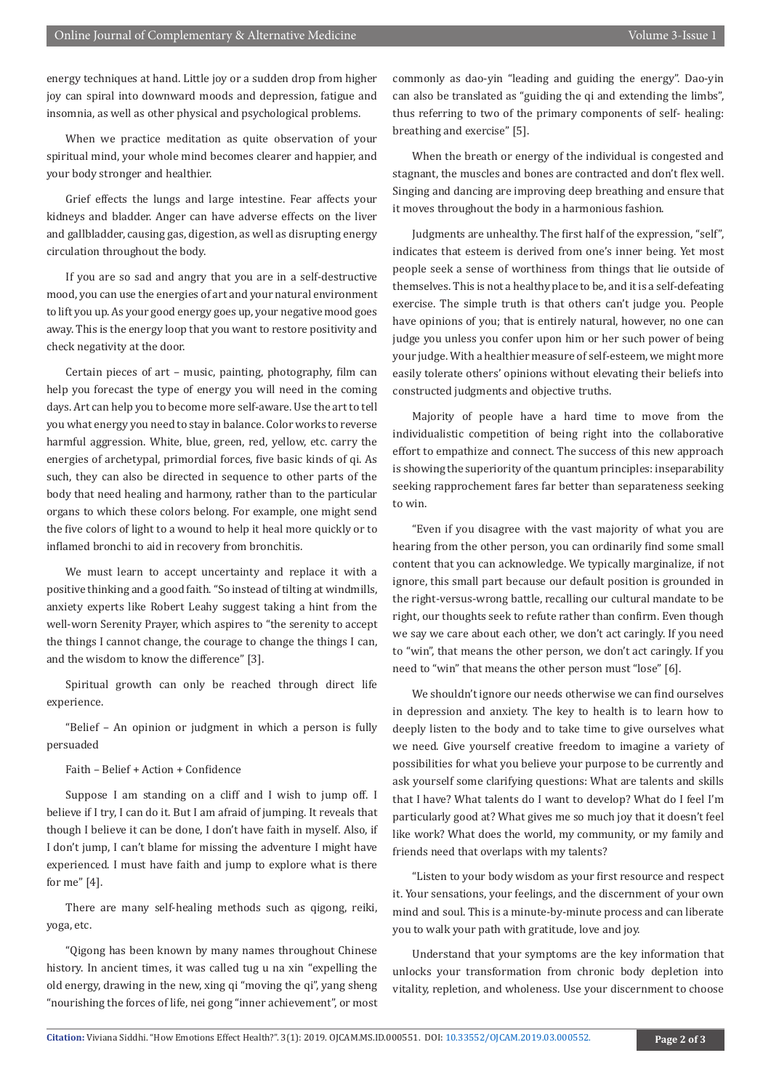energy techniques at hand. Little joy or a sudden drop from higher joy can spiral into downward moods and depression, fatigue and insomnia, as well as other physical and psychological problems.

When we practice meditation as quite observation of your spiritual mind, your whole mind becomes clearer and happier, and your body stronger and healthier.

Grief effects the lungs and large intestine. Fear affects your kidneys and bladder. Anger can have adverse effects on the liver and gallbladder, causing gas, digestion, as well as disrupting energy circulation throughout the body.

If you are so sad and angry that you are in a self-destructive mood, you can use the energies of art and your natural environment to lift you up. As your good energy goes up, your negative mood goes away. This is the energy loop that you want to restore positivity and check negativity at the door.

Certain pieces of art – music, painting, photography, film can help you forecast the type of energy you will need in the coming days. Art can help you to become more self-aware. Use the art to tell you what energy you need to stay in balance. Color works to reverse harmful aggression. White, blue, green, red, yellow, etc. carry the energies of archetypal, primordial forces, five basic kinds of qi. As such, they can also be directed in sequence to other parts of the body that need healing and harmony, rather than to the particular organs to which these colors belong. For example, one might send the five colors of light to a wound to help it heal more quickly or to inflamed bronchi to aid in recovery from bronchitis.

We must learn to accept uncertainty and replace it with a positive thinking and a good faith. "So instead of tilting at windmills, anxiety experts like Robert Leahy suggest taking a hint from the well-worn Serenity Prayer, which aspires to "the serenity to accept the things I cannot change, the courage to change the things I can, and the wisdom to know the difference" [3].

Spiritual growth can only be reached through direct life experience.

"Belief – An opinion or judgment in which a person is fully persuaded

### Faith – Belief + Action + Confidence

Suppose I am standing on a cliff and I wish to jump off. I believe if I try, I can do it. But I am afraid of jumping. It reveals that though I believe it can be done, I don't have faith in myself. Also, if I don't jump, I can't blame for missing the adventure I might have experienced. I must have faith and jump to explore what is there for me" [4].

There are many self-healing methods such as qigong, reiki, yoga, etc.

"Qigong has been known by many names throughout Chinese history. In ancient times, it was called tug u na xin "expelling the old energy, drawing in the new, xing qi "moving the qi", yang sheng "nourishing the forces of life, nei gong "inner achievement", or most commonly as dao-yin "leading and guiding the energy". Dao-yin can also be translated as "guiding the qi and extending the limbs", thus referring to two of the primary components of self- healing: breathing and exercise" [5].

When the breath or energy of the individual is congested and stagnant, the muscles and bones are contracted and don't flex well. Singing and dancing are improving deep breathing and ensure that it moves throughout the body in a harmonious fashion.

Judgments are unhealthy. The first half of the expression, "self", indicates that esteem is derived from one's inner being. Yet most people seek a sense of worthiness from things that lie outside of themselves. This is not a healthy place to be, and it is a self-defeating exercise. The simple truth is that others can't judge you. People have opinions of you; that is entirely natural, however, no one can judge you unless you confer upon him or her such power of being your judge. With a healthier measure of self-esteem, we might more easily tolerate others' opinions without elevating their beliefs into constructed judgments and objective truths.

Majority of people have a hard time to move from the individualistic competition of being right into the collaborative effort to empathize and connect. The success of this new approach is showing the superiority of the quantum principles: inseparability seeking rapprochement fares far better than separateness seeking to win.

"Even if you disagree with the vast majority of what you are hearing from the other person, you can ordinarily find some small content that you can acknowledge. We typically marginalize, if not ignore, this small part because our default position is grounded in the right-versus-wrong battle, recalling our cultural mandate to be right, our thoughts seek to refute rather than confirm. Even though we say we care about each other, we don't act caringly. If you need to "win", that means the other person, we don't act caringly. If you need to "win" that means the other person must "lose" [6].

We shouldn't ignore our needs otherwise we can find ourselves in depression and anxiety. The key to health is to learn how to deeply listen to the body and to take time to give ourselves what we need. Give yourself creative freedom to imagine a variety of possibilities for what you believe your purpose to be currently and ask yourself some clarifying questions: What are talents and skills that I have? What talents do I want to develop? What do I feel I'm particularly good at? What gives me so much joy that it doesn't feel like work? What does the world, my community, or my family and friends need that overlaps with my talents?

"Listen to your body wisdom as your first resource and respect it. Your sensations, your feelings, and the discernment of your own mind and soul. This is a minute-by-minute process and can liberate you to walk your path with gratitude, love and joy.

Understand that your symptoms are the key information that unlocks your transformation from chronic body depletion into vitality, repletion, and wholeness. Use your discernment to choose